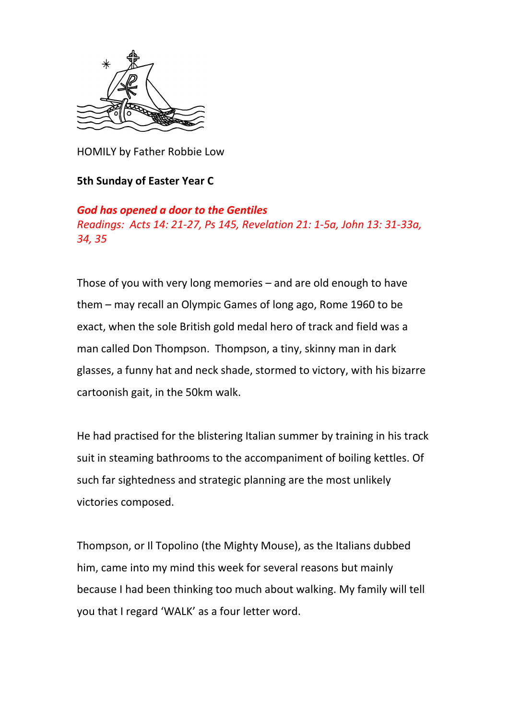

HOMILY by Father Robbie Low

## **5th Sunday of Easter Year C**

## *God has opened a door to the Gentiles*

*Readings: Acts 14: 21-27, Ps 145, Revelation 21: 1-5a, John 13: 31-33a, 34, 35*

Those of you with very long memories – and are old enough to have them – may recall an Olympic Games of long ago, Rome 1960 to be exact, when the sole British gold medal hero of track and field was a man called Don Thompson. Thompson, a tiny, skinny man in dark glasses, a funny hat and neck shade, stormed to victory, with his bizarre cartoonish gait, in the 50km walk.

He had practised for the blistering Italian summer by training in his track suit in steaming bathrooms to the accompaniment of boiling kettles. Of such far sightedness and strategic planning are the most unlikely victories composed.

Thompson, or Il Topolino (the Mighty Mouse), as the Italians dubbed him, came into my mind this week for several reasons but mainly because I had been thinking too much about walking. My family will tell you that I regard 'WALK' as a four letter word.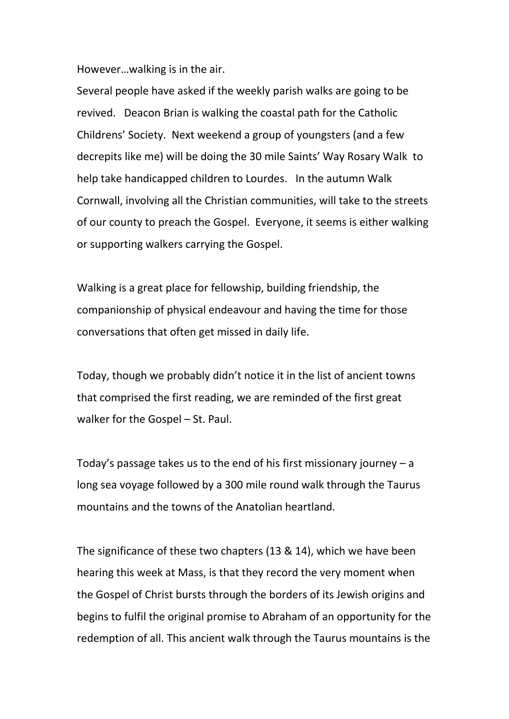However…walking is in the air.

Several people have asked if the weekly parish walks are going to be revived. Deacon Brian is walking the coastal path for the Catholic Childrens' Society. Next weekend a group of youngsters (and a few decrepits like me) will be doing the 30 mile Saints' Way Rosary Walk to help take handicapped children to Lourdes. In the autumn Walk Cornwall, involving all the Christian communities, will take to the streets of our county to preach the Gospel. Everyone, it seems is either walking or supporting walkers carrying the Gospel.

Walking is a great place for fellowship, building friendship, the companionship of physical endeavour and having the time for those conversations that often get missed in daily life.

Today, though we probably didn't notice it in the list of ancient towns that comprised the first reading, we are reminded of the first great walker for the Gospel – St. Paul.

Today's passage takes us to the end of his first missionary journey  $-a$ long sea voyage followed by a 300 mile round walk through the Taurus mountains and the towns of the Anatolian heartland.

The significance of these two chapters (13 & 14), which we have been hearing this week at Mass, is that they record the very moment when the Gospel of Christ bursts through the borders of its Jewish origins and begins to fulfil the original promise to Abraham of an opportunity for the redemption of all. This ancient walk through the Taurus mountains is the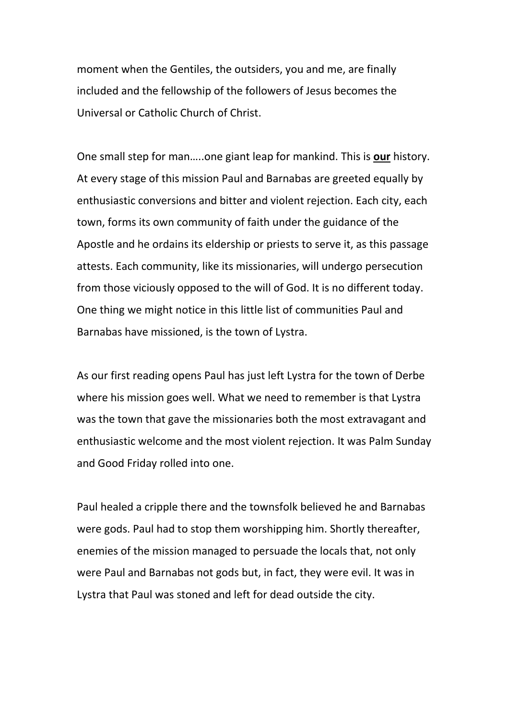moment when the Gentiles, the outsiders, you and me, are finally included and the fellowship of the followers of Jesus becomes the Universal or Catholic Church of Christ.

One small step for man…..one giant leap for mankind. This is **our** history. At every stage of this mission Paul and Barnabas are greeted equally by enthusiastic conversions and bitter and violent rejection. Each city, each town, forms its own community of faith under the guidance of the Apostle and he ordains its eldership or priests to serve it, as this passage attests. Each community, like its missionaries, will undergo persecution from those viciously opposed to the will of God. It is no different today. One thing we might notice in this little list of communities Paul and Barnabas have missioned, is the town of Lystra.

As our first reading opens Paul has just left Lystra for the town of Derbe where his mission goes well. What we need to remember is that Lystra was the town that gave the missionaries both the most extravagant and enthusiastic welcome and the most violent rejection. It was Palm Sunday and Good Friday rolled into one.

Paul healed a cripple there and the townsfolk believed he and Barnabas were gods. Paul had to stop them worshipping him. Shortly thereafter, enemies of the mission managed to persuade the locals that, not only were Paul and Barnabas not gods but, in fact, they were evil. It was in Lystra that Paul was stoned and left for dead outside the city.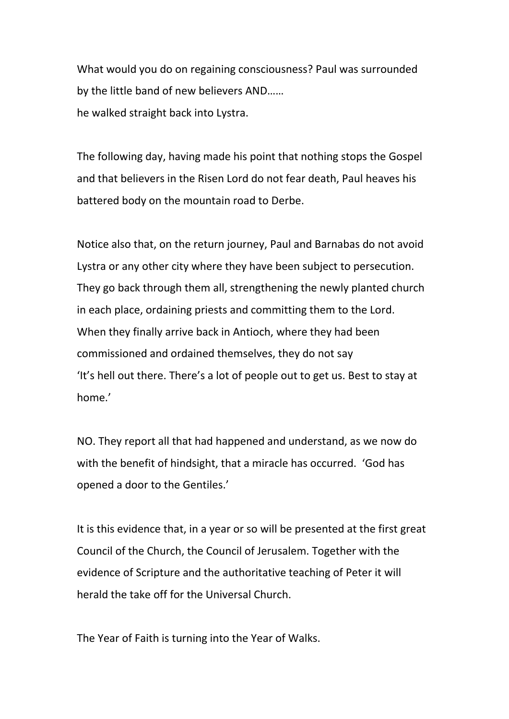What would you do on regaining consciousness? Paul was surrounded by the little band of new believers AND…… he walked straight back into Lystra.

The following day, having made his point that nothing stops the Gospel and that believers in the Risen Lord do not fear death, Paul heaves his battered body on the mountain road to Derbe.

Notice also that, on the return journey, Paul and Barnabas do not avoid Lystra or any other city where they have been subject to persecution. They go back through them all, strengthening the newly planted church in each place, ordaining priests and committing them to the Lord. When they finally arrive back in Antioch, where they had been commissioned and ordained themselves, they do not say 'It's hell out there. There's a lot of people out to get us. Best to stay at home.'

NO. They report all that had happened and understand, as we now do with the benefit of hindsight, that a miracle has occurred. 'God has opened a door to the Gentiles.'

It is this evidence that, in a year or so will be presented at the first great Council of the Church, the Council of Jerusalem. Together with the evidence of Scripture and the authoritative teaching of Peter it will herald the take off for the Universal Church.

The Year of Faith is turning into the Year of Walks.